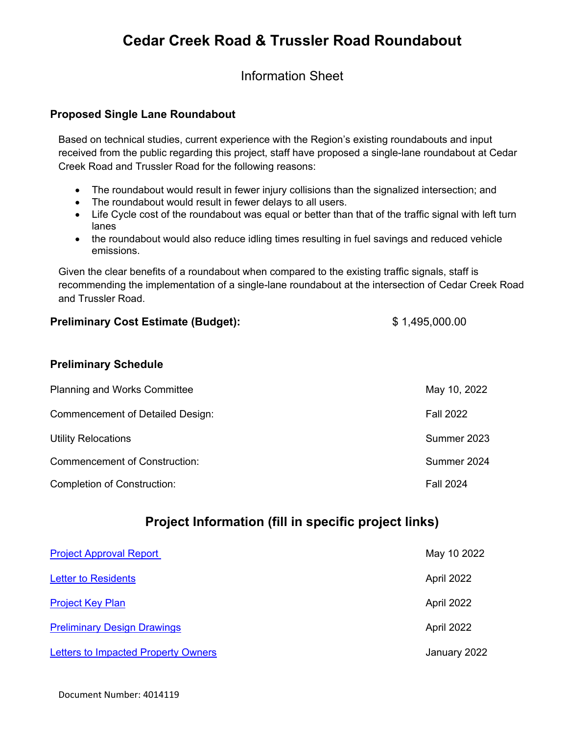# **Cedar Creek Road & Trussler Road Roundabout**

Information Sheet

#### **Proposed Single Lane Roundabout**

Based on technical studies, current experience with the Region's existing roundabouts and input received from the public regarding this project, staff have proposed a single-lane roundabout at Cedar Creek Road and Trussler Road for the following reasons:

- The roundabout would result in fewer injury collisions than the signalized intersection; and
- The roundabout would result in fewer delays to all users.
- Life Cycle cost of the roundabout was equal or better than that of the traffic signal with left turn lanes
- the roundabout would also reduce idling times resulting in fuel savings and reduced vehicle emissions.

Given the clear benefits of a roundabout when compared to the existing traffic signals, staff is recommending the implementation of a single-lane roundabout at the intersection of Cedar Creek Road and Trussler Road.

#### **Preliminary Cost Estimate (Budget):**  $$1,495,000.00$

#### **Preliminary Schedule**

| <b>Planning and Works Committee</b>     | May 10, 2022     |
|-----------------------------------------|------------------|
| <b>Commencement of Detailed Design:</b> | <b>Fall 2022</b> |
| <b>Utility Relocations</b>              | Summer 2023      |
| <b>Commencement of Construction:</b>    | Summer 2024      |
| <b>Completion of Construction:</b>      | <b>Fall 2024</b> |

## **Project Information (fill in specific project links)**

| <b>Project Approval Report</b>             | May 10 2022  |
|--------------------------------------------|--------------|
| <b>Letter to Residents</b>                 | April 2022   |
| <b>Project Key Plan</b>                    | April 2022   |
| <b>Preliminary Design Drawings</b>         | April 2022   |
| <b>Letters to Impacted Property Owners</b> | January 2022 |